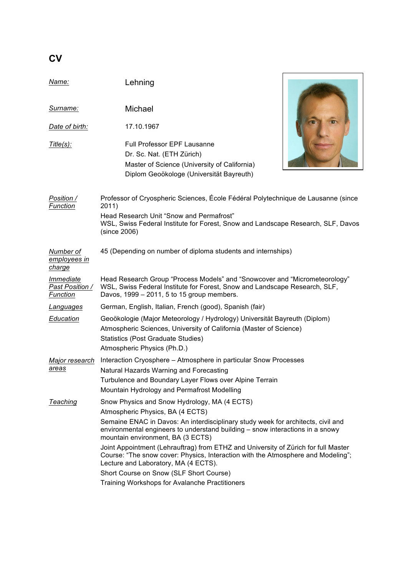| ٠<br>I<br>۰. |
|--------------|
|--------------|

| Name:                                    | Lehning                                                                                                                                                                                                                                                                                    |  |  |
|------------------------------------------|--------------------------------------------------------------------------------------------------------------------------------------------------------------------------------------------------------------------------------------------------------------------------------------------|--|--|
| <u>Surname:</u>                          | Michael                                                                                                                                                                                                                                                                                    |  |  |
| Date of birth:                           | 17.10.1967                                                                                                                                                                                                                                                                                 |  |  |
| <u>Title(s):</u>                         | <b>Full Professor EPF Lausanne</b><br>Dr. Sc. Nat. (ETH Zürich)<br>Master of Science (University of California)<br>Diplom Geoökologe (Universität Bayreuth)                                                                                                                                |  |  |
| Position /<br>Function                   | Professor of Cryospheric Sciences, École Fédéral Polytechnique de Lausanne (since<br>2011)<br>Head Research Unit "Snow and Permafrost"<br>WSL, Swiss Federal Institute for Forest, Snow and Landscape Research, SLF, Davos<br>(since 2006)                                                 |  |  |
| Number of<br>employees in<br>charge      | 45 (Depending on number of diploma students and internships)                                                                                                                                                                                                                               |  |  |
| Immediate<br>Past Position /<br>Function | Head Research Group "Process Models" and "Snowcover and "Micrometeorology"<br>WSL, Swiss Federal Institute for Forest, Snow and Landscape Research, SLF,<br>Davos, 1999 - 2011, 5 to 15 group members.                                                                                     |  |  |
| <u>Languages</u>                         | German, English, Italian, French (good), Spanish (fair)                                                                                                                                                                                                                                    |  |  |
| Education                                | Geoökologie (Major Meteorology / Hydrology) Universität Bayreuth (Diplom)<br>Atmospheric Sciences, University of California (Master of Science)<br><b>Statistics (Post Graduate Studies)</b><br>Atmospheric Physics (Ph.D.)                                                                |  |  |
| Major research<br><u>areas</u>           | Interaction Cryosphere - Atmosphere in particular Snow Processes<br>Natural Hazards Warning and Forecasting<br>Turbulence and Boundary Layer Flows over Alpine Terrain<br>Mountain Hydrology and Permafrost Modelling                                                                      |  |  |
| <b>Teaching</b>                          | Snow Physics and Snow Hydrology, MA (4 ECTS)<br>Atmospheric Physics, BA (4 ECTS)<br>Semaine ENAC in Davos: An interdisciplinary study week for architects, civil and<br>environmental engineers to understand building - snow interactions in a snowy<br>mountain environment, BA (3 ECTS) |  |  |
|                                          | Joint Appointment (Lehrauftrag) from ETHZ and University of Zürich for full Master<br>Course: "The snow cover: Physics, Interaction with the Atmosphere and Modeling";<br>Lecture and Laboratory, MA (4 ECTS).                                                                             |  |  |
|                                          | Short Course on Snow (SLF Short Course)<br>Training Workshops for Avalanche Practitioners                                                                                                                                                                                                  |  |  |

h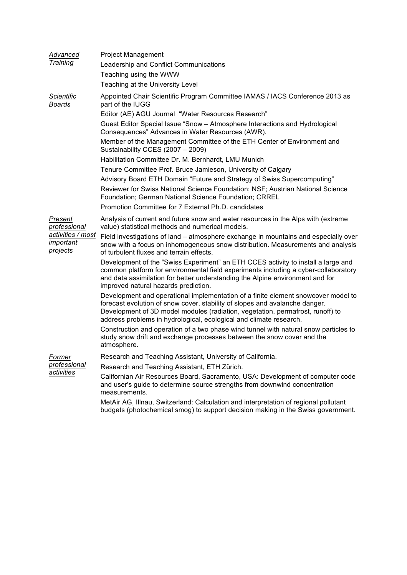| Advanced<br>Training                                                                | <b>Project Management</b>                                                                                                                                                                                                                                                                                                |
|-------------------------------------------------------------------------------------|--------------------------------------------------------------------------------------------------------------------------------------------------------------------------------------------------------------------------------------------------------------------------------------------------------------------------|
|                                                                                     | Leadership and Conflict Communications                                                                                                                                                                                                                                                                                   |
|                                                                                     | Teaching using the WWW                                                                                                                                                                                                                                                                                                   |
|                                                                                     | Teaching at the University Level                                                                                                                                                                                                                                                                                         |
| <b>Scientific</b><br><b>Boards</b>                                                  | Appointed Chair Scientific Program Committee IAMAS / IACS Conference 2013 as<br>part of the IUGG                                                                                                                                                                                                                         |
|                                                                                     | Editor (AE) AGU Journal "Water Resources Research"                                                                                                                                                                                                                                                                       |
|                                                                                     | Guest Editor Special Issue "Snow - Atmosphere Interactions and Hydrological<br>Consequences" Advances in Water Resources (AWR).                                                                                                                                                                                          |
|                                                                                     | Member of the Management Committee of the ETH Center of Environment and<br>Sustainability CCES (2007 - 2009)                                                                                                                                                                                                             |
|                                                                                     | Habilitation Committee Dr. M. Bernhardt, LMU Munich                                                                                                                                                                                                                                                                      |
|                                                                                     | Tenure Committee Prof. Bruce Jamieson, University of Calgary                                                                                                                                                                                                                                                             |
|                                                                                     | Advisory Board ETH Domain "Future and Strategy of Swiss Supercomputing"                                                                                                                                                                                                                                                  |
|                                                                                     | Reviewer for Swiss National Science Foundation; NSF; Austrian National Science<br>Foundation; German National Science Foundation; CRREL                                                                                                                                                                                  |
|                                                                                     | Promotion Committee for 7 External Ph.D. candidates                                                                                                                                                                                                                                                                      |
| Present<br>professional<br>activities / most<br>important<br><i><u>projects</u></i> | Analysis of current and future snow and water resources in the Alps with (extreme<br>value) statistical methods and numerical models.                                                                                                                                                                                    |
|                                                                                     | Field investigations of land – atmosphere exchange in mountains and especially over<br>snow with a focus on inhomogeneous snow distribution. Measurements and analysis<br>of turbulent fluxes and terrain effects.                                                                                                       |
|                                                                                     | Development of the "Swiss Experiment" an ETH CCES activity to install a large and<br>common platform for environmental field experiments including a cyber-collaboratory<br>and data assimilation for better understanding the Alpine environment and for<br>improved natural hazards prediction.                        |
|                                                                                     | Development and operational implementation of a finite element snowcover model to<br>forecast evolution of snow cover, stability of slopes and avalanche danger.<br>Development of 3D model modules (radiation, vegetation, permafrost, runoff) to<br>address problems in hydrological, ecological and climate research. |
|                                                                                     | Construction and operation of a two phase wind tunnel with natural snow particles to<br>study snow drift and exchange processes between the snow cover and the<br>atmosphere.                                                                                                                                            |
| Former<br>professional<br>activities                                                | Research and Teaching Assistant, University of California.                                                                                                                                                                                                                                                               |
|                                                                                     | Research and Teaching Assistant, ETH Zürich.                                                                                                                                                                                                                                                                             |
|                                                                                     | Californian Air Resources Board, Sacramento, USA: Development of computer code<br>and user's guide to determine source strengths from downwind concentration<br>measurements.                                                                                                                                            |
|                                                                                     | MetAir AG, Illnau, Switzerland: Calculation and interpretation of regional pollutant<br>budgets (photochemical smog) to support decision making in the Swiss government.                                                                                                                                                 |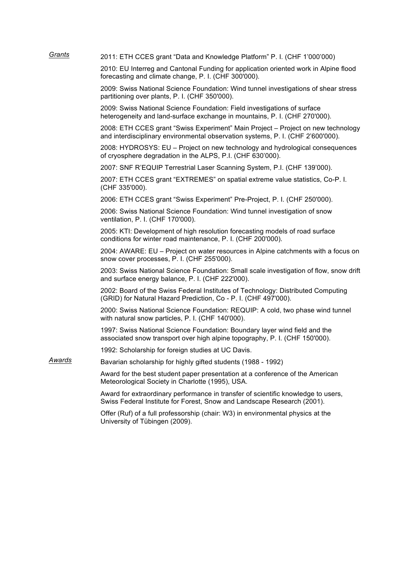| Grants | 2011: ETH CCES grant "Data and Knowledge Platform" P. I. (CHF 1'000'000)                                                                                            |
|--------|---------------------------------------------------------------------------------------------------------------------------------------------------------------------|
|        | 2010: EU Interreg and Cantonal Funding for application oriented work in Alpine flood<br>forecasting and climate change, P. I. (CHF 300'000).                        |
|        | 2009: Swiss National Science Foundation: Wind tunnel investigations of shear stress<br>partitioning over plants, P. I. (CHF 350'000).                               |
|        | 2009: Swiss National Science Foundation: Field investigations of surface<br>heterogeneity and land-surface exchange in mountains, P. I. (CHF 270'000).              |
|        | 2008: ETH CCES grant "Swiss Experiment" Main Project - Project on new technology<br>and interdisciplinary environmental observation systems, P. I. (CHF 2'600'000). |
|        | 2008: HYDROSYS: EU – Project on new technology and hydrological consequences<br>of cryosphere degradation in the ALPS, P.I. (CHF 630'000).                          |
|        | 2007: SNF R'EQUIP Terrestrial Laser Scanning System, P.I. (CHF 139'000).                                                                                            |
|        | 2007: ETH CCES grant "EXTREMES" on spatial extreme value statistics, Co-P. I.<br>(CHF 335'000).                                                                     |
|        | 2006: ETH CCES grant "Swiss Experiment" Pre-Project, P. I. (CHF 250'000).                                                                                           |
|        | 2006: Swiss National Science Foundation: Wind tunnel investigation of snow<br>ventilation, P. I. (CHF 170'000).                                                     |
|        | 2005: KTI: Development of high resolution forecasting models of road surface<br>conditions for winter road maintenance, P. I. (CHF 200'000).                        |
|        | 2004: AWARE: EU – Project on water resources in Alpine catchments with a focus on<br>snow cover processes, P. I. (CHF 255'000).                                     |
|        | 2003: Swiss National Science Foundation: Small scale investigation of flow, snow drift<br>and surface energy balance, P. I. (CHF 222'000).                          |
|        | 2002: Board of the Swiss Federal Institutes of Technology: Distributed Computing<br>(GRID) for Natural Hazard Prediction, Co - P. I. (CHF 497'000).                 |
|        | 2000: Swiss National Science Foundation: REQUIP: A cold, two phase wind tunnel<br>with natural snow particles, P. I. (CHF 140'000).                                 |
|        | 1997: Swiss National Science Foundation: Boundary layer wind field and the<br>associated snow transport over high alpine topography, P. I. (CHF 150'000).           |
|        | 1992: Scholarship for foreign studies at UC Davis.                                                                                                                  |
| Awards | Bavarian scholarship for highly gifted students (1988 - 1992)                                                                                                       |
|        | Award for the best student paper presentation at a conference of the American<br>Meteorological Society in Charlotte (1995), USA.                                   |
|        | Award for extraordinary performance in transfer of scientific knowledge to users,<br>Swiss Federal Institute for Forest, Snow and Landscape Research (2001).        |
|        | Offer (Ruf) of a full professorship (chair: W3) in environmental physics at the<br>University of Tübingen (2009).                                                   |
|        |                                                                                                                                                                     |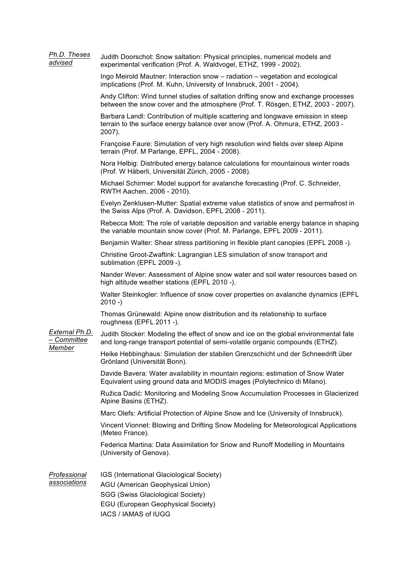| Ph.D. Theses<br>advised                 | Judith Doorschot: Snow saltation: Physical principles, numerical models and<br>experimental verification (Prof. A. Waldvogel, ETHZ, 1999 - 2002).                                       |
|-----------------------------------------|-----------------------------------------------------------------------------------------------------------------------------------------------------------------------------------------|
|                                         | Ingo Meirold Mautner: Interaction snow - radiation - vegetation and ecological<br>implications (Prof. M. Kuhn, University of Innsbruck, 2001 - 2004).                                   |
|                                         | Andy Clifton: Wind tunnel studies of saltation drifting snow and exchange processes<br>between the snow cover and the atmosphere (Prof. T. Rösgen, ETHZ, 2003 - 2007).                  |
|                                         | Barbara Landl: Contribution of multiple scattering and longwave emission in steep<br>terrain to the surface energy balance over snow (Prof. A. Ohmura, ETHZ, 2003 -<br>2007).           |
|                                         | Françoise Faure: Simulation of very high resolution wind fields over steep Alpine<br>terrain (Prof. M Parlange, EPFL, 2004 - 2008).                                                     |
|                                         | Nora Helbig: Distributed energy balance calculations for mountainous winter roads<br>(Prof. W Häberli, Universität Zürich, 2005 - 2008).                                                |
|                                         | Michael Schirmer: Model support for avalanche forecasting (Prof. C. Schneider,<br>RWTH Aachen, 2006 - 2010).                                                                            |
|                                         | Evelyn Zenklusen-Mutter: Spatial extreme value statistics of snow and permafrost in<br>the Swiss Alps (Prof. A. Davidson, EPFL 2008 - 2011).                                            |
|                                         | Rebecca Mott: The role of variable deposition and variable energy balance in shaping<br>the variable mountain snow cover (Prof. M. Parlange, EPFL 2009 - 2011).                         |
|                                         | Benjamin Walter: Shear stress partitioning in flexible plant canopies (EPFL 2008 -).                                                                                                    |
|                                         | Christine Groot-Zwaftink: Lagrangian LES simulation of snow transport and<br>sublimation (EPFL 2009 -).                                                                                 |
|                                         | Nander Wever: Assessment of Alpine snow water and soil water resources based on<br>high altitude weather stations (EPFL 2010 -).                                                        |
|                                         | Walter Steinkogler: Influence of snow cover properties on avalanche dynamics (EPFL<br>$2010 - )$                                                                                        |
|                                         | Thomas Grünewald: Alpine snow distribution and its relationship to surface<br>roughness (EPFL 2011 -).                                                                                  |
| External Ph.D.<br>- Committee<br>Member | Judith Stocker: Modeling the effect of snow and ice on the global environmental fate<br>and long-range transport potential of semi-volatile organic compounds (ETHZ).                   |
|                                         | Heike Hebbinghaus: Simulation der stabilen Grenzschicht und der Schneedrift über<br>Grönland (Universität Bonn).                                                                        |
|                                         | Davide Bavera: Water availability in mountain regions: estimation of Snow Water<br>Equivalent using ground data and MODIS images (Polytechnico di Milano).                              |
|                                         | Ružica Dadić: Monitoring and Modeling Snow Accumulation Processes in Glacierized<br>Alpine Basins (ETHZ).                                                                               |
|                                         | Marc Olefs: Artificial Protection of Alpine Snow and Ice (University of Innsbruck).                                                                                                     |
|                                         | Vincent Vionnet: Blowing and Drifting Snow Modeling for Meteorological Applications<br>(Meteo France).                                                                                  |
|                                         | Federica Martina: Data Assimilation for Snow and Runoff Modelling in Mountains<br>(University of Genova).                                                                               |
| Professional<br>associations            | IGS (International Glaciological Society)<br><b>AGU (American Geophysical Union)</b><br>SGG (Swiss Glaciological Society)<br>EGU (European Geophysical Society)<br>IACS / IAMAS of IUGG |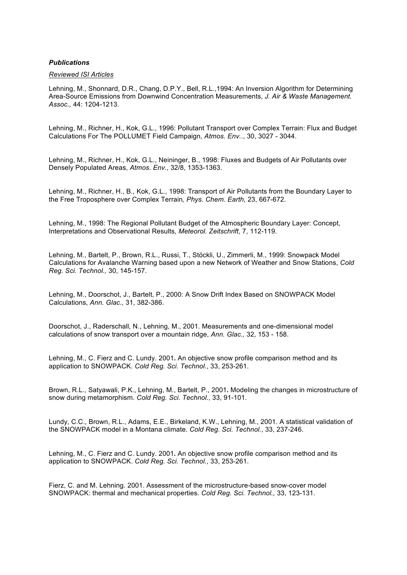# *Publications*

### *Reviewed ISI Articles*

Lehning, M., Shonnard, D.R., Chang, D.P.Y., Bell, R.L.,1994: An Inversion Algorithm for Determining Area-Source Emissions from Downwind Concentration Measurements, *J. Air & Waste Management. Assoc.,* 44: 1204-1213.

Lehning, M., Richner, H., Kok, G.L., 1996: Pollutant Transport over Complex Terrain: Flux and Budget Calculations For The POLLUMET Field Campaign, *Atmos. Env..*, 30, 3027 - 3044.

Lehning, M., Richner, H., Kok, G.L., Neininger, B., 1998: Fluxes and Budgets of Air Pollutants over Densely Populated Areas, *Atmos. Env.*, 32/8, 1353-1363.

Lehning, M., Richner, H., B., Kok, G.L., 1998: Transport of Air Pollutants from the Boundary Layer to the Free Troposphere over Complex Terrain*, Phys. Chem. Earth,* 23, 667-672.

Lehning, M., 1998: The Regional Pollutant Budget of the Atmospheric Boundary Layer: Concept, Interpretations and Observational Results, *Meteorol. Zeitschrift*, 7, 112-119.

Lehning, M., Bartelt, P., Brown, R.L., Russi, T., Stöckli, U., Zimmerli, M., 1999: Snowpack Model Calculations for Avalanche Warning based upon a new Network of Weather and Snow Stations, *Cold Reg. Sci. Technol.,* 30, 145-157.

Lehning, M., Doorschot, J., Bartelt, P., 2000: A Snow Drift Index Based on SNOWPACK Model Calculations, *Ann. Glac.,* 31, 382-386.

Doorschot, J., Raderschall, N., Lehning, M., 2001. Measurements and one-dimensional model calculations of snow transport over a mountain ridge, *Ann. Glac.,* 32, 153 - 158.

Lehning, M., C. Fierz and C. Lundy. 2001**.** An objective snow profile comparison method and its application to SNOWPACK. *Cold Reg. Sci. Technol.*, 33, 253-261.

Brown, R.L., Satyawali, P.K., Lehning, M., Bartelt, P., 2001**.** Modeling the changes in microstructure of snow during metamorphism. *Cold Reg. Sci. Technol.*, 33, 91-101.

Lundy, C.C., Brown, R.L., Adams, E.E., Birkeland, K.W., Lehning, M., 2001. A statistical validation of the SNOWPACK model in a Montana climate. *Cold Reg. Sci. Technol.*, 33, 237-246.

Lehning, M., C. Fierz and C. Lundy. 2001**.** An objective snow profile comparison method and its application to SNOWPACK. *Cold Reg. Sci. Technol.*, 33, 253-261.

Fierz, C. and M. Lehning. 2001. Assessment of the microstructure-based snow-cover model SNOWPACK: thermal and mechanical properties. *Cold Reg. Sci. Technol.,* 33, 123-131.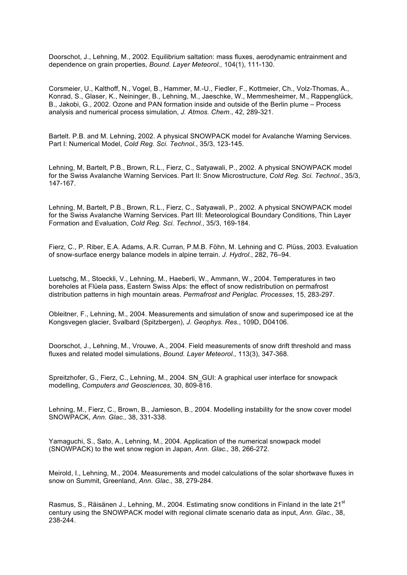Doorschot, J., Lehning, M., 2002. Equilibrium saltation: mass fluxes, aerodynamic entrainment and dependence on grain properties, *Bound. Layer Meteorol.,* 104(1), 111-130.

Corsmeier, U., Kalthoff, N., Vogel, B., Hammer, M.-U., Fiedler, F., Kottmeier, Ch., Volz-Thomas, A., Konrad, S., Glaser, K., Neininger, B., Lehning, M., Jaeschke, W., Memmesheimer, M., Rappenglück, B., Jakobi, G., 2002. Ozone and PAN formation inside and outside of the Berlin plume – Process analysis and numerical process simulation, *J. Atmos. Chem.*, 42, 289-321.

Bartelt. P.B. and M. Lehning, 2002. A physical SNOWPACK model for Avalanche Warning Services. Part I: Numerical Model, *Cold Reg. Sci. Technol.*, 35/3, 123-145.

Lehning, M, Bartelt, P.B., Brown, R.L., Fierz, C., Satyawali, P., 2002. A physical SNOWPACK model for the Swiss Avalanche Warning Services. Part II: Snow Microstructure, *Cold Reg. Sci. Technol.*, 35/3, 147-167.

Lehning, M, Bartelt, P.B., Brown, R.L., Fierz, C., Satyawali, P., 2002. A physical SNOWPACK model for the Swiss Avalanche Warning Services. Part III: Meteorological Boundary Conditions, Thin Layer Formation and Evaluation, *Cold Reg. Sci. Technol.*, 35/3, 169-184.

Fierz, C., P. Riber, E.A. Adams, A.R. Curran, P.M.B. Föhn, M. Lehning and C. Plüss, 2003. Evaluation of snow-surface energy balance models in alpine terrain. *J. Hydrol.*, 282, 76–94.

Luetschg, M., Stoeckli, V., Lehning, M., Haeberli, W., Ammann, W., 2004. Temperatures in two boreholes at Flüela pass, Eastern Swiss Alps: the effect of snow redistribution on permafrost distribution patterns in high mountain areas. *Permafrost and Periglac. Processes*, 15, 283-297.

Obleitner, F., Lehning, M., 2004. Measurements and simulation of snow and superimposed ice at the Kongsvegen glacier, Svalbard (Spitzbergen), *J. Geophys. Res.*, 109D, D04106.

Doorschot, J., Lehning, M., Vrouwe, A., 2004. Field measurements of snow drift threshold and mass fluxes and related model simulations, *Bound. Layer Meteorol.,* 113(3), 347-368.

Spreitzhofer, G., Fierz, C., Lehning, M., 2004. SN\_GUI: A graphical user interface for snowpack modelling, *Computers and Geosciences,* 30, 809-816.

Lehning, M., Fierz, C., Brown, B., Jamieson, B., 2004. Modelling instability for the snow cover model SNOWPACK, *Ann. Glac.,* 38, 331-338.

Yamaguchi, S., Sato, A., Lehning, M., 2004. Application of the numerical snowpack model (SNOWPACK) to the wet snow region in Japan, *Ann. Glac.,* 38, 266-272.

Meirold, I., Lehning, M., 2004. Measurements and model calculations of the solar shortwave fluxes in snow on Summit, Greenland, *Ann. Glac.,* 38, 279-284.

Rasmus, S., Räisänen J., Lehning, M., 2004. Estimating snow conditions in Finland in the late 21<sup>st</sup> century using the SNOWPACK model with regional climate scenario data as input, *Ann. Glac.,* 38, 238-244.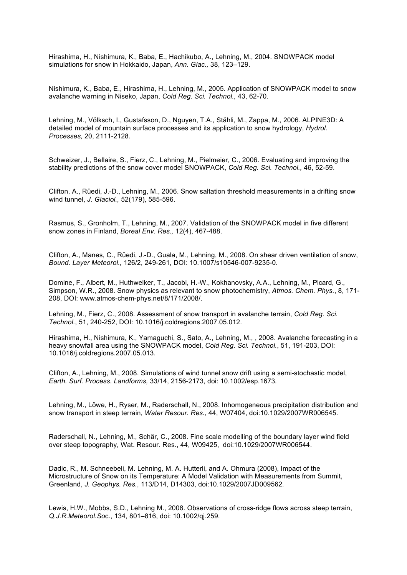Hirashima, H., Nishimura, K., Baba, E., Hachikubo, A., Lehning, M., 2004. SNOWPACK model simulations for snow in Hokkaido, Japan, *Ann. Glac.,* 38, 123–129.

Nishimura, K., Baba, E., Hirashima, H., Lehning, M., 2005. Application of SNOWPACK model to snow avalanche warning in Niseko, Japan, *Cold Reg. Sci. Technol.,* 43, 62-70.

Lehning, M., Völksch, I., Gustafsson, D., Nguyen, T.A., Stähli, M., Zappa, M., 2006. ALPINE3D: A detailed model of mountain surface processes and its application to snow hydrology, *Hydrol. Processes,* 20, 2111-2128.

Schweizer, J., Bellaire, S., Fierz, C., Lehning, M., Pielmeier, C., 2006. Evaluating and improving the stability predictions of the snow cover model SNOWPACK, *Cold Reg. Sci. Technol.,* 46, 52-59.

Clifton, A., Rüedi, J.-D., Lehning, M., 2006. Snow saltation threshold measurements in a drifting snow wind tunnel, *J. Glaciol.,* 52(179), 585-596.

Rasmus, S., Gronholm, T., Lehning, M., 2007. Validation of the SNOWPACK model in five different snow zones in Finland, *Boreal Env. Res.,* 12(4), 467-488.

Clifton, A., Manes, C., Rüedi, J.-D., Guala, M., Lehning, M., 2008. On shear driven ventilation of snow, *Bound. Layer Meteorol.,* 126/2, 249-261, DOI: 10.1007/s10546-007-9235-0*.*

Domine, F., Albert, M., Huthwelker, T., Jacobi, H.-W., Kokhanovsky, A.A., Lehning, M., Picard, G., Simpson, W.R., 2008. Snow physics as relevant to snow photochemistry, *Atmos. Chem. Phys.*, 8, 171- 208, DOI: www.atmos-chem-phys.net/8/171/2008/.

Lehning, M., Fierz, C., 2008. Assessment of snow transport in avalanche terrain, *Cold Reg. Sci. Technol.*, 51, 240-252, DOI: 10.1016/j.coldregions.2007.05.012.

Hirashima, H., Nishimura, K., Yamaguchi, S., Sato, A., Lehning, M., , 2008. Avalanche forecasting in a heavy snowfall area using the SNOWPACK model, *Cold Reg. Sci. Technol.*, 51, 191-203, DOI: 10.1016/j.coldregions.2007.05.013.

Clifton, A., Lehning, M., 2008. Simulations of wind tunnel snow drift using a semi-stochastic model, *Earth. Surf. Process. Landforms,* 33/14, 2156-2173, doi: 10.1002/esp.1673*.*

Lehning, M., Löwe, H., Ryser, M., Raderschall, N., 2008. Inhomogeneous precipitation distribution and snow transport in steep terrain, *Water Resour. Res.,* 44, W07404, doi:10.1029/2007WR006545.

Raderschall, N., Lehning, M., Schär, C., 2008. Fine scale modelling of the boundary layer wind field over steep topography, Wat. Resour. Res., 44, W09425, doi:10.1029/2007WR006544.

Dadic, R., M. Schneebeli, M. Lehning, M. A. Hutterli, and A. Ohmura (2008), Impact of the Microstructure of Snow on its Temperature: A Model Validation with Measurements from Summit, Greenland, *J. Geophys. Res.*, 113/D14, D14303, doi:10.1029/2007JD009562*.*

Lewis, H.W., Mobbs, S.D., Lehning M., 2008. Observations of cross-ridge flows across steep terrain, *Q.J.R.Meteorol.So*c., 134, 801–816, doi: 10.1002/qj.259.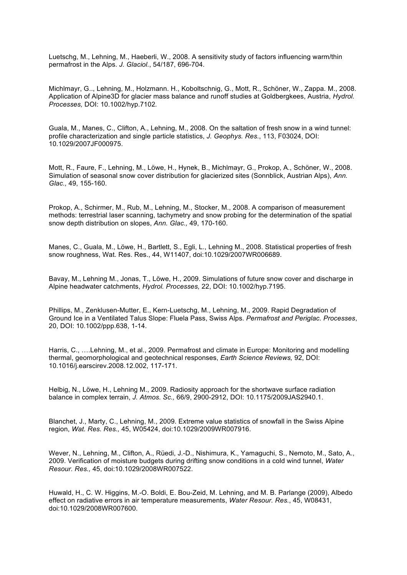Luetschg, M., Lehning, M., Haeberli, W., 2008. A sensitivity study of factors influencing warm/thin permafrost in the Alps. *J. Glaciol.*, 54/187, 696-704.

Michlmayr, G.., Lehning, M., Holzmann. H., Koboltschnig, G., Mott, R., Schöner, W., Zappa. M., 2008. Application of Alpine3D for glacier mass balance and runoff studies at Goldbergkees, Austria, *Hydrol. Processes,* DOI: 10.1002/hyp.7102*.*

Guala, M., Manes, C., Clifton, A., Lehning, M., 2008. On the saltation of fresh snow in a wind tunnel: profile characterization and single particle statistics, *J. Geophys. Res.*, 113, F03024, DOI: 10.1029/2007JF000975.

Mott, R., Faure, F., Lehning, M., Löwe, H., Hynek, B., Michlmayr, G., Prokop, A., Schöner, W., 2008. Simulation of seasonal snow cover distribution for glacierized sites (Sonnblick, Austrian Alps), *Ann. Glac.,* 49, 155-160.

Prokop, A., Schirmer, M., Rub, M., Lehning, M., Stocker, M., 2008. A comparison of measurement methods: terrestrial laser scanning, tachymetry and snow probing for the determination of the spatial snow depth distribution on slopes, *Ann. Glac.,* 49, 170-160.

Manes, C., Guala, M., Löwe, H., Bartlett, S., Egli, L., Lehning M., 2008. Statistical properties of fresh snow roughness, Wat. Res. Res., 44, W11407, doi:10.1029/2007WR006689.

Bavay, M., Lehning M., Jonas, T., Löwe, H., 2009. Simulations of future snow cover and discharge in Alpine headwater catchments, *Hydrol. Processes,* 22, DOI: 10.1002/hyp.7195.

Phillips, M., Zenklusen-Mutter, E., Kern-Luetschg, M., Lehning, M., 2009. Rapid Degradation of Ground Ice in a Ventilated Talus Slope: Fluela Pass, Swiss Alps. *Permafrost and Periglac. Processes*, 20, DOI: 10.1002/ppp.638, 1-14.

Harris, C., ….Lehning, M., et al., 2009. Permafrost and climate in Europe: Monitoring and modelling thermal, geomorphological and geotechnical responses, *Earth Science Reviews,* 92, DOI: 10.1016/j.earscirev.2008.12.002, 117-171.

Helbig, N., Löwe, H., Lehning M., 2009. Radiosity approach for the shortwave surface radiation balance in complex terrain, *J. Atmos. Sc.,* 66/9, 2900-2912, DOI: 10.1175/2009JAS2940.1.

Blanchet, J., Marty, C., Lehning, M., 2009. Extreme value statistics of snowfall in the Swiss Alpine region, *Wat. Res. Res.,* 45, W05424, doi:10.1029/2009WR007916.

Wever, N., Lehning, M., Clifton, A., Rüedi, J.-D., Nishimura, K., Yamaguchi, S., Nemoto, M., Sato, A., 2009. Verification of moisture budgets during drifting snow conditions in a cold wind tunnel, *Water Resour. Res.,* 45, doi:10.1029/2008WR007522.

Huwald, H., C. W. Higgins, M.-O. Boldi, E. Bou-Zeid, M. Lehning, and M. B. Parlange (2009), Albedo effect on radiative errors in air temperature measurements, *Water Resour. Res.*, 45, W08431, doi:10.1029/2008WR007600.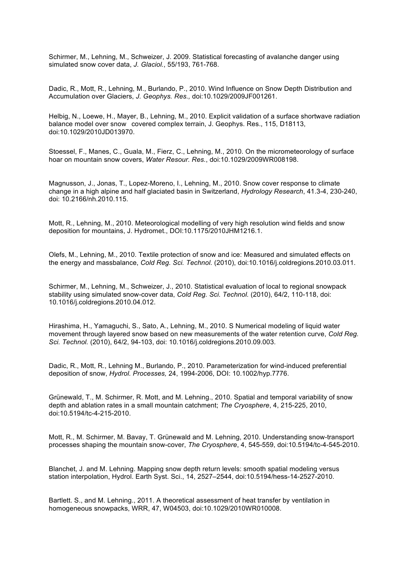Schirmer, M., Lehning, M., Schweizer, J. 2009. Statistical forecasting of avalanche danger using simulated snow cover data, *J. Glaciol.*, 55/193, 761-768.

Dadic, R., Mott, R., Lehning, M., Burlando, P., 2010. Wind Influence on Snow Depth Distribution and Accumulation over Glaciers, *J. Geophys. Res.,* doi:10.1029/2009JF001261.

Helbig, N., Loewe, H., Mayer, B., Lehning, M., 2010. Explicit validation of a surface shortwave radiation balance model over snow covered complex terrain, J. Geophys. Res., 115, D18113, doi:10.1029/2010JD013970.

Stoessel, F., Manes, C., Guala, M., Fierz, C., Lehning, M., 2010. On the micrometeorology of surface hoar on mountain snow covers, *Water Resour. Res.*, doi:10.1029/2009WR008198.

Magnusson, J., Jonas, T., Lopez-Moreno, I., Lehning, M., 2010. Snow cover response to climate change in a high alpine and half glaciated basin in Switzerland, *Hydrology Research*, 41.3-4, 230-240, doi: 10.2166/nh.2010.115.

Mott, R., Lehning, M., 2010. Meteorological modelling of very high resolution wind fields and snow deposition for mountains, J. Hydromet., DOI:10.1175/2010JHM1216.1.

Olefs, M., Lehning, M., 2010. Textile protection of snow and ice: Measured and simulated effects on the energy and massbalance, *Cold Reg. Sci. Technol.* (2010), doi:10.1016/j.coldregions.2010.03.011.

Schirmer, M., Lehning, M., Schweizer, J., 2010. Statistical evaluation of local to regional snowpack stability using simulated snow-cover data, *Cold Reg. Sci. Technol.* (2010), 64/2, 110-118, doi: 10.1016/j.coldregions.2010.04.012.

Hirashima, H., Yamaguchi, S., Sato, A., Lehning, M., 2010. S Numerical modeling of liquid water movement through layered snow based on new measurements of the water retention curve, *Cold Reg. Sci. Technol.* (2010), 64/2, 94-103, doi: 10.1016/j.coldregions.2010.09.003.

Dadic, R., Mott, R., Lehning M., Burlando, P., 2010. Parameterization for wind-induced preferential deposition of snow, *Hydrol. Processes,* 24, 1994-2006, DOI: 10.1002/hyp.7776.

Grünewald, T., M. Schirmer, R. Mott, and M. Lehning., 2010. Spatial and temporal variability of snow depth and ablation rates in a small mountain catchment; *The Cryosphere*, 4, 215-225, 2010, doi:10.5194/tc-4-215-2010.

Mott, R., M. Schirmer, M. Bavay, T. Grünewald and M. Lehning, 2010. Understanding snow-transport processes shaping the mountain snow-cover, *The Cryosphere*, 4, 545-559, doi:10.5194/tc-4-545-2010.

Blanchet, J. and M. Lehning. Mapping snow depth return levels: smooth spatial modeling versus station interpolation, Hydrol. Earth Syst. Sci., 14, 2527–2544, doi:10.5194/hess-14-2527-2010.

Bartlett. S., and M. Lehning., 2011. A theoretical assessment of heat transfer by ventilation in homogeneous snowpacks, WRR, 47, W04503, doi:10.1029/2010WR010008.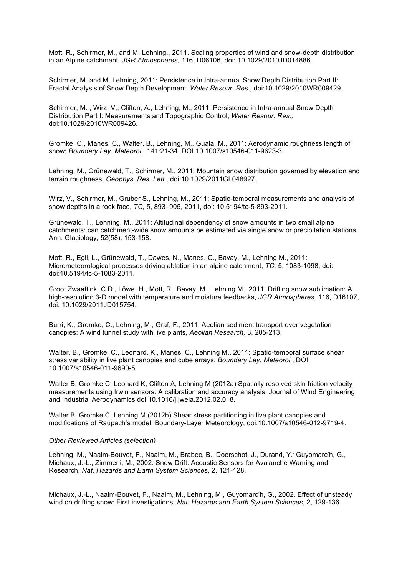Mott, R., Schirmer, M., and M. Lehning., 2011. Scaling properties of wind and snow-depth distribution in an Alpine catchment, *JGR Atmospheres,* 116, D06106, doi: 10.1029/2010JD014886.

Schirmer, M. and M. Lehning, 2011: Persistence in Intra-annual Snow Depth Distribution Part II: Fractal Analysis of Snow Depth Development; *Water Resour. Re*s., doi:10.1029/2010WR009429.

Schirmer, M. , Wirz, V,, Clifton, A., Lehning, M., 2011: Persistence in Intra-annual Snow Depth Distribution Part I: Measurements and Topographic Control; *Water Resour. Res.,* doi:10.1029/2010WR009426.

Gromke, C., Manes, C., Walter, B., Lehning, M., Guala, M., 2011: Aerodynamic roughness length of snow; *Boundary Lay. Meteorol.*, 141:21-34, DOI 10.1007/s10546-011-9623-3.

Lehning, M., Grünewald, T., Schirmer, M., 2011: Mountain snow distribution governed by elevation and terrain roughness, *Geophys. Res. Lett.*, doi:10.1029/2011GL048927.

Wirz, V., Schirmer, M., Gruber S., Lehning, M., 2011: Spatio-temporal measurements and analysis of snow depths in a rock face, *TC,* 5, 893–905, 2011, doi: 10.5194/tc-5-893-2011.

Grünewald, T., Lehning, M., 2011: Altitudinal dependency of snow amounts in two small alpine catchments: can catchment-wide snow amounts be estimated via single snow or precipitation stations, Ann. Glaciology*,* 52(58), 153-158.

Mott, R., Egli, L., Grünewald, T., Dawes, N., Manes. C., Bavay, M., Lehning M., 2011: Micrometeorological processes driving ablation in an alpine catchment, *TC,* 5, 1083-1098, doi: doi:10.5194/tc-5-1083-2011.

Groot Zwaaftink, C.D., Löwe, H., Mott, R., Bavay, M., Lehning M., 2011: Drifting snow sublimation: A high-resolution 3-D model with temperature and moisture feedbacks, *JGR Atmospheres,* 116, D16107, doi: 10.1029/2011JD015754.

Burri, K., Gromke, C., Lehning, M., Graf, F., 2011. Aeolian sediment transport over vegetation canopies: A wind tunnel study with live plants, *Aeolian Research,* 3, 205-213.

Walter, B., Gromke, C., Leonard, K., Manes, C., Lehning M., 2011: Spatio-temporal surface shear stress variability in live plant canopies and cube arrays, *Boundary Lay. Meteorol.*, DOI: 10.1007/s10546-011-9690-5.

Walter B, Gromke C, Leonard K, Clifton A, Lehning M (2012a) Spatially resolved skin friction velocity measurements using Irwin sensors: A calibration and accuracy analysis. Journal of Wind Engineering and Industrial Aerodynamics doi:10.1016/j.jweia.2012.02.018.

Walter B, Gromke C, Lehning M (2012b) Shear stress partitioning in live plant canopies and modifications of Raupach's model. Boundary-Layer Meteorology, doi:10.1007/s10546-012-9719-4.

#### *Other Reviewed Articles (selection)*

Lehning, M., Naaim-Bouvet, F., Naaim, M., Brabec, B., Doorschot, J., Durand, Y.' Guyomarc'h, G., Michaux, J.-L., Zimmerli, M., 2002. Snow Drift: Acoustic Sensors for Avalanche Warning and Research, *Nat. Hazards and Earth System Sciences*, 2, 121-128.

Michaux, J.-L., Naaim-Bouvet, F., Naaim, M., Lehning, M., Guyomarc'h, G., 2002. Effect of unsteady wind on drifting snow: First investigations, *Nat. Hazards and Earth System Sciences*, 2, 129-136.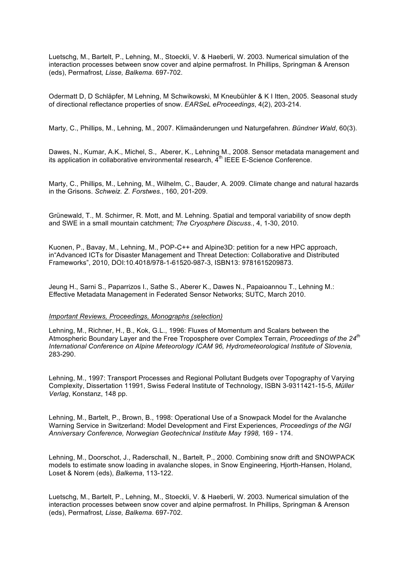Luetschg, M., Bartelt, P., Lehning, M., Stoeckli, V. & Haeberli, W. 2003. Numerical simulation of the interaction processes between snow cover and alpine permafrost. In Phillips, Springman & Arenson (eds), Permafrost*, Lisse, Balkema*. 697-702.

Odermatt D, D Schläpfer, M Lehning, M Schwikowski, M Kneubühler & K I Itten, 2005. Seasonal study of directional reflectance properties of snow. *EARSeL eProceedings*, 4(2), 203-214.

Marty, C., Phillips, M., Lehning, M., 2007. Klimaänderungen und Naturgefahren. *Bündner Wald*, 60(3).

Dawes, N., Kumar, A.K., Michel, S., Aberer, K., Lehning M., 2008. Sensor metadata management and its application in collaborative environmental research,  $\tilde{A}^{th}$  IEEE E-Science Conference.

Marty, C., Phillips, M., Lehning, M., Wilhelm, C., Bauder, A. 2009. Climate change and natural hazards in the Grisons. *Schweiz. Z. Forstwes.*, 160, 201-209.

Grünewald, T., M. Schirmer, R. Mott, and M. Lehning. Spatial and temporal variability of snow depth and SWE in a small mountain catchment; *The Cryosphere Discuss.*, 4, 1-30, 2010.

Kuonen, P., Bavay, M., Lehning, M., POP-C++ and Alpine3D: petition for a new HPC approach, in"Advanced ICTs for Disaster Management and Threat Detection: Collaborative and Distributed Frameworks", 2010, DOI:10.4018/978-1-61520-987-3, ISBN13: 9781615209873.

Jeung H., Sarni S., Paparrizos I., Sathe S., Aberer K., Dawes N., Papaioannou T., Lehning M.: Effective Metadata Management in Federated Sensor Networks; SUTC, March 2010.

# *Important Reviews, Proceedings, Monographs (selection)*

Lehning, M., Richner, H., B., Kok, G.L., 1996: Fluxes of Momentum and Scalars between the Atmospheric Boundary Layer and the Free Troposphere over Complex Terrain, *Proceedings of the 24th International Conference on Alpine Meteorology ICAM 96, Hydrometeorological Institute of Slovenia,* 283-290.

Lehning, M., 1997: Transport Processes and Regional Pollutant Budgets over Topography of Varying Complexity, Dissertation 11991, Swiss Federal Institute of Technology, ISBN 3-9311421-15-5, *Müller Verlag*, Konstanz, 148 pp.

Lehning, M., Bartelt, P., Brown, B., 1998: Operational Use of a Snowpack Model for the Avalanche Warning Service in Switzerland: Model Development and First Experiences*, Proceedings of the NGI Anniversary Conference, Norwegian Geotechnical Institute May 1998,* 169 - 174.

Lehning, M., Doorschot, J., Raderschall, N., Bartelt, P., 2000. Combining snow drift and SNOWPACK models to estimate snow loading in avalanche slopes, in Snow Engineering, Hjorth-Hansen, Holand, Loset & Norem (eds), *Balkema*, 113-122.

Luetschg, M., Bartelt, P., Lehning, M., Stoeckli, V. & Haeberli, W. 2003. Numerical simulation of the interaction processes between snow cover and alpine permafrost. In Phillips, Springman & Arenson (eds), Permafrost*, Lisse, Balkema*. 697-702.